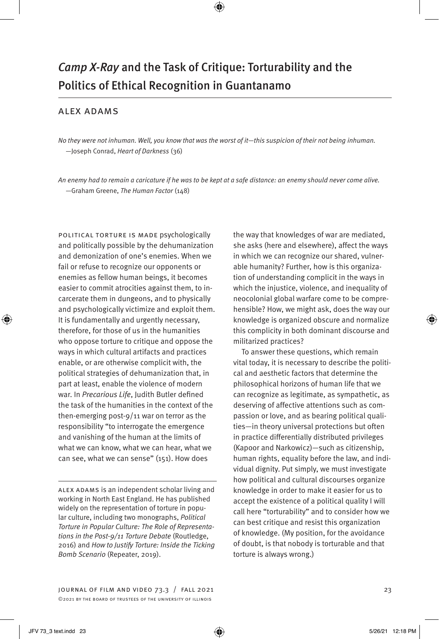# *Camp X-Ray* and the Task of Critique: Torturability and the Politics of Ethical Recognition in Guantanamo

### alex adams

*No they were not inhuman. Well, you know that was the worst of it—this suspicion of their not being inhuman.* —Joseph Conrad, *Heart of Darkness* (36)

*An enemy had to remain a caricature if he was to be kept at a safe distance: an enemy should never come alive.* —Graham Greene, *The Human Factor* (148)

political torture is made psychologically and politically possible by the dehumanization and demonization of one's enemies. When we fail or refuse to recognize our opponents or enemies as fellow human beings, it becomes easier to commit atrocities against them, to incarcerate them in dungeons, and to physically and psychologically victimize and exploit them. It is fundamentally and urgently necessary, therefore, for those of us in the humanities who oppose torture to critique and oppose the ways in which cultural artifacts and practices enable, or are otherwise complicit with, the political strategies of dehumanization that, in part at least, enable the violence of modern war. In *Precarious Life*, Judith Butler defined the task of the humanities in the context of the then-emerging post-9/11 war on terror as the responsibility "to interrogate the emergence and vanishing of the human at the limits of what we can know, what we can hear, what we can see, what we can sense" (151). How does

alex adams is an independent scholar living and working in North East England. He has published widely on the representation of torture in popular culture, including two monographs, *Political Torture in Popular Culture: The Role of Representations in the Post-9/11 Torture Debate* (Routledge, 2016) and *How to Justify Torture: Inside the Ticking Bomb Scenario* (Repeater, 2019).

the way that knowledges of war are mediated, she asks (here and elsewhere), affect the ways in which we can recognize our shared, vulnerable humanity? Further, how is this organization of understanding complicit in the ways in which the injustice, violence, and inequality of neocolonial global warfare come to be comprehensible? How, we might ask, does the way our knowledge is organized obscure and normalize this complicity in both dominant discourse and militarized practices?

To answer these questions, which remain vital today, it is necessary to describe the political and aesthetic factors that determine the philosophical horizons of human life that we can recognize as legitimate, as sympathetic, as deserving of affective attentions such as compassion or love, and as bearing political qualities—in theory universal protections but often in practice differentially distributed privileges (Kapoor and Narkowicz)—such as citizenship, human rights, equality before the law, and individual dignity. Put simply, we must investigate how political and cultural discourses organize knowledge in order to make it easier for us to accept the existence of a political quality I will call here "torturability" and to consider how we can best critique and resist this organization of knowledge. (My position, for the avoidance of doubt, is that nobody is torturable and that torture is always wrong.)

JOURNAL OF FILM AND VIDEO  $73.3$  / FALL 2021  $23$ ©2021 by the board of trustees of the university of illinois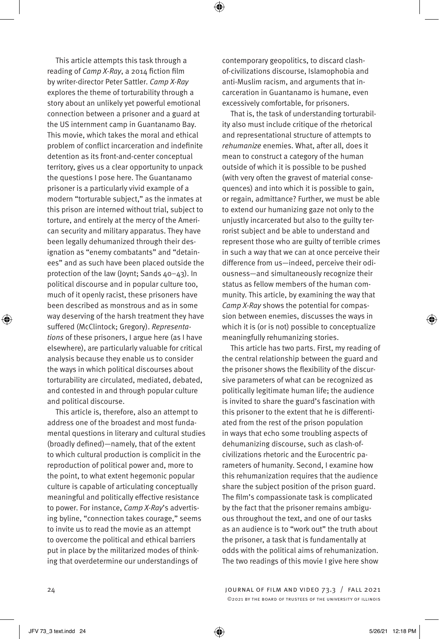This article attempts this task through a reading of *Camp X-Ray*, a 2014 fiction film by writer-director Peter Sattler. *Camp X-Ray* explores the theme of torturability through a story about an unlikely yet powerful emotional connection between a prisoner and a guard at the US internment camp in Guantanamo Bay. This movie, which takes the moral and ethical problem of conflict incarceration and indefinite detention as its front-and-center conceptual territory, gives us a clear opportunity to unpack the questions I pose here. The Guantanamo prisoner is a particularly vivid example of a modern "torturable subject," as the inmates at this prison are interned without trial, subject to torture, and entirely at the mercy of the American security and military apparatus. They have been legally dehumanized through their designation as "enemy combatants" and "detainees" and as such have been placed outside the protection of the law (Joynt; Sands 40–43). In political discourse and in popular culture too, much of it openly racist, these prisoners have been described as monstrous and as in some way deserving of the harsh treatment they have suffered (McClintock; Gregory). *Representations* of these prisoners, I argue here (as I have elsewhere), are particularly valuable for critical analysis because they enable us to consider the ways in which political discourses about torturability are circulated, mediated, debated, and contested in and through popular culture and political discourse.

This article is, therefore, also an attempt to address one of the broadest and most fundamental questions in literary and cultural studies (broadly defined)—namely, that of the extent to which cultural production is complicit in the reproduction of political power and, more to the point, to what extent hegemonic popular culture is capable of articulating conceptually meaningful and politically effective resistance to power. For instance, *Camp X-Ray*'s advertising byline, "connection takes courage," seems to invite us to read the movie as an attempt to overcome the political and ethical barriers put in place by the militarized modes of thinking that overdetermine our understandings of

contemporary geopolitics, to discard clashof-civilizations discourse, Islamophobia and anti-Muslim racism, and arguments that incarceration in Guantanamo is humane, even excessively comfortable, for prisoners.

That is, the task of understanding torturability also must include critique of the rhetorical and representational structure of attempts to *rehumanize* enemies. What, after all, does it mean to construct a category of the human outside of which it is possible to be pushed (with very often the gravest of material consequences) and into which it is possible to gain, or regain, admittance? Further, we must be able to extend our humanizing gaze not only to the unjustly incarcerated but also to the guilty terrorist subject and be able to understand and represent those who are guilty of terrible crimes in such a way that we can at once perceive their difference from us—indeed, perceive their odiousness—and simultaneously recognize their status as fellow members of the human community. This article, by examining the way that *Camp X-Ray* shows the potential for compassion between enemies, discusses the ways in which it is (or is not) possible to conceptualize meaningfully rehumanizing stories.

This article has two parts. First, my reading of the central relationship between the guard and the prisoner shows the flexibility of the discursive parameters of what can be recognized as politically legitimate human life; the audience is invited to share the guard's fascination with this prisoner to the extent that he is differentiated from the rest of the prison population in ways that echo some troubling aspects of dehumanizing discourse, such as clash-ofcivilizations rhetoric and the Eurocentric parameters of humanity. Second, I examine how this rehumanization requires that the audience share the subject position of the prison guard. The film's compassionate task is complicated by the fact that the prisoner remains ambiguous throughout the text, and one of our tasks as an audience is to "work out" the truth about the prisoner, a task that is fundamentally at odds with the political aims of rehumanization. The two readings of this movie I give here show

⊕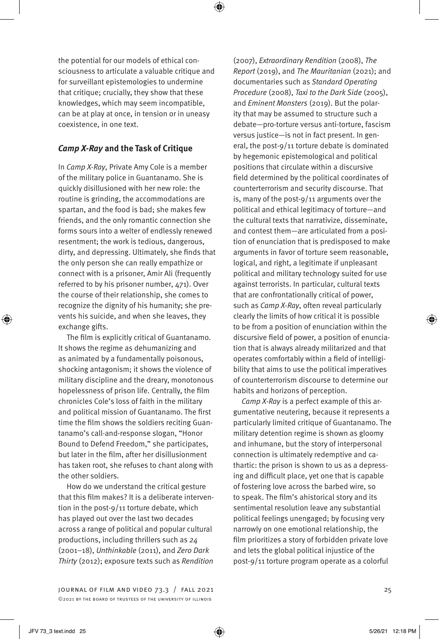the potential for our models of ethical consciousness to articulate a valuable critique and for surveillant epistemologies to undermine that critique; crucially, they show that these knowledges, which may seem incompatible, can be at play at once, in tension or in uneasy coexistence, in one text.

## *Camp X-Ray* **and the Task of Critique**

In *Camp X-Ray*, Private Amy Cole is a member of the military police in Guantanamo. She is quickly disillusioned with her new role: the routine is grinding, the accommodations are spartan, and the food is bad; she makes few friends, and the only romantic connection she forms sours into a welter of endlessly renewed resentment; the work is tedious, dangerous, dirty, and depressing. Ultimately, she finds that the only person she can really empathize or connect with is a prisoner, Amir Ali (frequently referred to by his prisoner number, 471). Over the course of their relationship, she comes to recognize the dignity of his humanity; she prevents his suicide, and when she leaves, they exchange gifts.

The film is explicitly critical of Guantanamo. It shows the regime as dehumanizing and as animated by a fundamentally poisonous, shocking antagonism; it shows the violence of military discipline and the dreary, monotonous hopelessness of prison life. Centrally, the film chronicles Cole's loss of faith in the military and political mission of Guantanamo. The first time the film shows the soldiers reciting Guantanamo's call-and-response slogan, "Honor Bound to Defend Freedom," she participates, but later in the film, after her disillusionment has taken root, she refuses to chant along with the other soldiers.

How do we understand the critical gesture that this film makes? It is a deliberate intervention in the post-9/11 torture debate, which has played out over the last two decades across a range of political and popular cultural productions, including thrillers such as *24* (2001–18), *Unthinkable* (2011), and *Zero Dark Thirty* (2012); exposure texts such as *Rendition*

JOURNAL OF FILM AND VIDEO  $73.3$  / FALL 2021  $25$ ©2021 by the board of trustees of the university of illinois

(2007), *Extraordinary Rendition* (2008), *The Report* (2019), and *The Mauritanian* (2021); and documentaries such as *Standard Operating Procedure* (2008), *Taxi to the Dark Side* (2005), and *Eminent Monsters* (2019). But the polarity that may be assumed to structure such a debate—pro-torture versus anti-torture, fascism versus justice—is not in fact present. In general, the post-9/11 torture debate is dominated by hegemonic epistemological and political positions that circulate within a discursive field determined by the political coordinates of counterterrorism and security discourse. That is, many of the post-9/11 arguments over the political and ethical legitimacy of torture—and the cultural texts that narrativize, disseminate, and contest them—are articulated from a position of enunciation that is predisposed to make arguments in favor of torture seem reasonable, logical, and right, a legitimate if unpleasant political and military technology suited for use against terrorists. In particular, cultural texts that are confrontationally critical of power, such as *Camp X-Ray*, often reveal particularly clearly the limits of how critical it is possible to be from a position of enunciation within the discursive field of power, a position of enunciation that is always already militarized and that operates comfortably within a field of intelligibility that aims to use the political imperatives of counterterrorism discourse to determine our habits and horizons of perception.

*Camp X-Ray* is a perfect example of this argumentative neutering, because it represents a particularly limited critique of Guantanamo. The military detention regime is shown as gloomy and inhumane, but the story of interpersonal connection is ultimately redemptive and cathartic: the prison is shown to us as a depressing and difficult place, yet one that is capable of fostering love across the barbed wire, so to speak. The film's ahistorical story and its sentimental resolution leave any substantial political feelings unengaged; by focusing very narrowly on one emotional relationship, the film prioritizes a story of forbidden private love and lets the global political injustice of the post-9/11 torture program operate as a colorful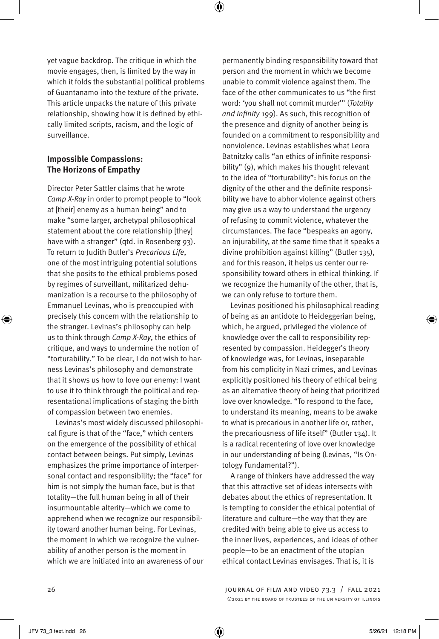yet vague backdrop. The critique in which the movie engages, then, is limited by the way in which it folds the substantial political problems of Guantanamo into the texture of the private. This article unpacks the nature of this private relationship, showing how it is defined by ethically limited scripts, racism, and the logic of surveillance.

# **Impossible Compassions: The Horizons of Empathy**

Director Peter Sattler claims that he wrote *Camp X-Ray* in order to prompt people to "look at [their] enemy as a human being" and to make "some larger, archetypal philosophical statement about the core relationship [they] have with a stranger" (qtd. in Rosenberg 93). To return to Judith Butler's *Precarious Life*, one of the most intriguing potential solutions that she posits to the ethical problems posed by regimes of surveillant, militarized dehumanization is a recourse to the philosophy of Emmanuel Levinas, who is preoccupied with precisely this concern with the relationship to the stranger. Levinas's philosophy can help us to think through *Camp X-Ray*, the ethics of critique, and ways to undermine the notion of "torturability." To be clear, I do not wish to harness Levinas's philosophy and demonstrate that it shows us how to love our enemy: I want to use it to think through the political and representational implications of staging the birth of compassion between two enemies.

Levinas's most widely discussed philosophical figure is that of the "face," which centers on the emergence of the possibility of ethical contact between beings. Put simply, Levinas emphasizes the prime importance of interpersonal contact and responsibility; the "face" for him is not simply the human face, but is that totality—the full human being in all of their insurmountable alterity—which we come to apprehend when we recognize our responsibility toward another human being. For Levinas, the moment in which we recognize the vulnerability of another person is the moment in which we are initiated into an awareness of our permanently binding responsibility toward that person and the moment in which we become unable to commit violence against them. The face of the other communicates to us "the first word: 'you shall not commit murder'" (*Totality and Infinity* 199). As such, this recognition of the presence and dignity of another being is founded on a commitment to responsibility and nonviolence. Levinas establishes what Leora Batnitzky calls "an ethics of infinite responsibility" (9), which makes his thought relevant to the idea of "torturability": his focus on the dignity of the other and the definite responsibility we have to abhor violence against others may give us a way to understand the urgency of refusing to commit violence, whatever the circumstances. The face "bespeaks an agony, an injurability, at the same time that it speaks a divine prohibition against killing" (Butler 135), and for this reason, it helps us center our responsibility toward others in ethical thinking. If we recognize the humanity of the other, that is, we can only refuse to torture them.

Levinas positioned his philosophical reading of being as an antidote to Heideggerian being, which, he argued, privileged the violence of knowledge over the call to responsibility represented by compassion. Heidegger's theory of knowledge was, for Levinas, inseparable from his complicity in Nazi crimes, and Levinas explicitly positioned his theory of ethical being as an alternative theory of being that prioritized love over knowledge. "To respond to the face, to understand its meaning, means to be awake to what is precarious in another life or, rather, the precariousness of life itself" (Butler 134). It is a radical recentering of love over knowledge in our understanding of being (Levinas, "Is Ontology Fundamental?").

A range of thinkers have addressed the way that this attractive set of ideas intersects with debates about the ethics of representation. It is tempting to consider the ethical potential of literature and culture—the way that they are credited with being able to give us access to the inner lives, experiences, and ideas of other people—to be an enactment of the utopian ethical contact Levinas envisages. That is, it is

26 journal of film and video 73.3 / fall 2021 ©2021 by the board of trustees of the university of illinois

⊕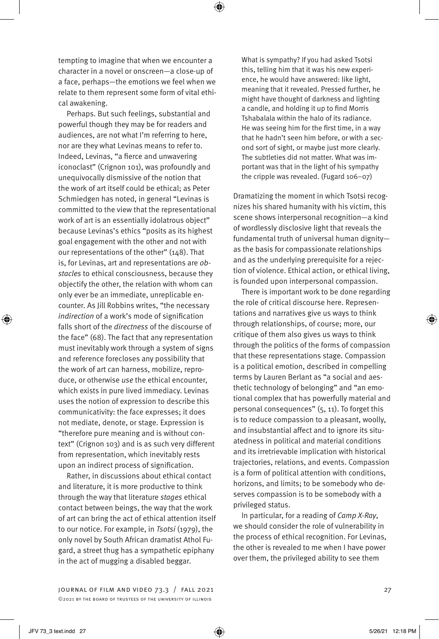

tempting to imagine that when we encounter a character in a novel or onscreen—a close-up of a face, perhaps—the emotions we feel when we relate to them represent some form of vital ethical awakening.

Perhaps. But such feelings, substantial and powerful though they may be for readers and audiences, are not what I'm referring to here, nor are they what Levinas means to refer to. Indeed, Levinas, "a fierce and unwavering iconoclast" (Crignon 101), was profoundly and unequivocally dismissive of the notion that the work of art itself could be ethical; as Peter Schmiedgen has noted, in general "Levinas is committed to the view that the representational work of art is an essentially idolatrous object" because Levinas's ethics "posits as its highest goal engagement with the other and not with our representations of the other" (148). That is, for Levinas, art and representations are *obstacles* to ethical consciousness, because they objectify the other, the relation with whom can only ever be an immediate, unreplicable encounter. As Jill Robbins writes, "the necessary *indirection* of a work's mode of signification falls short of the *directness* of the discourse of the face" (68). The fact that any representation must inevitably work through a system of signs and reference forecloses any possibility that the work of art can harness, mobilize, reproduce, or otherwise *use* the ethical encounter, which exists in pure lived immediacy. Levinas uses the notion of expression to describe this communicativity: the face expresses; it does not mediate, denote, or stage. Expression is "therefore pure meaning and is without context" (Crignon 103) and is as such very different from representation, which inevitably rests upon an indirect process of signification.

Rather, in discussions about ethical contact and literature, it is more productive to think through the way that literature *stages* ethical contact between beings, the way that the work of art can bring the act of ethical attention itself to our notice. For example, in *Tsotsi* (1979), the only novel by South African dramatist Athol Fugard, a street thug has a sympathetic epiphany in the act of mugging a disabled beggar.

What is sympathy? If you had asked Tsotsi this, telling him that it was his new experience, he would have answered: like light, meaning that it revealed. Pressed further, he might have thought of darkness and lighting a candle, and holding it up to find Morris Tshabalala within the halo of its radiance. He was seeing him for the first time, in a way that he hadn't seen him before, or with a second sort of sight, or maybe just more clearly. The subtleties did not matter. What was important was that in the light of his sympathy the cripple was revealed. (Fugard 106–07)

Dramatizing the moment in which Tsotsi recognizes his shared humanity with his victim, this scene shows interpersonal recognition—a kind of wordlessly disclosive light that reveals the fundamental truth of universal human dignity as the basis for compassionate relationships and as the underlying prerequisite for a rejection of violence. Ethical action, or ethical living, is founded upon interpersonal compassion.

There is important work to be done regarding the role of critical discourse here. Representations and narratives give us ways to think through relationships, of course; more, our critique of them also gives us ways to think through the politics of the forms of compassion that these representations stage. Compassion is a political emotion, described in compelling terms by Lauren Berlant as "a social and aesthetic technology of belonging" and "an emotional complex that has powerfully material and personal consequences" (5, 11). To forget this is to reduce compassion to a pleasant, woolly, and insubstantial affect and to ignore its situatedness in political and material conditions and its irretrievable implication with historical trajectories, relations, and events. Compassion is a form of political attention with conditions, horizons, and limits; to be somebody who deserves compassion is to be somebody with a privileged status.

In particular, for a reading of *Camp X-Ray*, we should consider the role of vulnerability in the process of ethical recognition. For Levinas, the other is revealed to me when I have power over them, the privileged ability to see them

journal of film and video 73.3 / fall 2021 27 ©2021 by the board of trustees of the university of illinois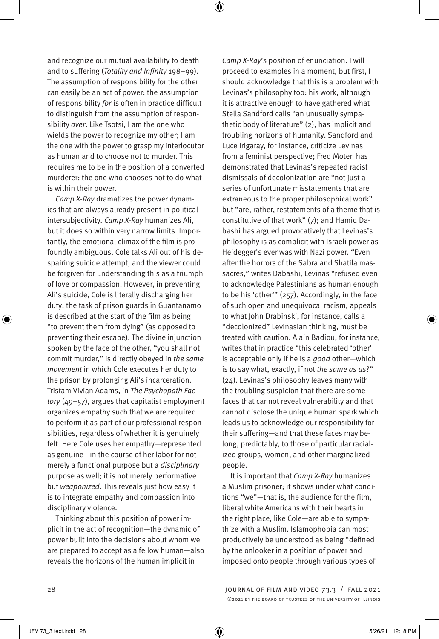and recognize our mutual availability to death and to suffering (*Totality and Infinity* 198–99). The assumption of responsibility for the other can easily be an act of power: the assumption of responsibility *for* is often in practice difficult to distinguish from the assumption of responsibility *over*. Like Tsotsi, I am the one who wields the power to recognize my other; I am the one with the power to grasp my interlocutor as human and to choose not to murder. This requires me to be in the position of a converted murderer: the one who chooses not to do what is within their power.

⊕

*Camp X-Ray* dramatizes the power dynamics that are always already present in political intersubjectivity. *Camp X-Ray* humanizes Ali, but it does so within very narrow limits. Importantly, the emotional climax of the film is profoundly ambiguous. Cole talks Ali out of his despairing suicide attempt, and the viewer could be forgiven for understanding this as a triumph of love or compassion. However, in preventing Ali's suicide, Cole is literally discharging her duty: the task of prison guards in Guantanamo is described at the start of the film as being "to prevent them from dying" (as opposed to preventing their escape). The divine injunction spoken by the face of the other, "you shall not commit murder," is directly obeyed in *the same movement* in which Cole executes her duty to the prison by prolonging Ali's incarceration. Tristam Vivian Adams, in *The Psychopath Factory* (49–57), argues that capitalist employment organizes empathy such that we are required to perform it as part of our professional responsibilities, regardless of whether it is genuinely felt. Here Cole uses her empathy—represented as genuine—in the course of her labor for not merely a functional purpose but a *disciplinary* purpose as well; it is not merely performative but *weaponized*. This reveals just how easy it is to integrate empathy and compassion into disciplinary violence.

Thinking about this position of power implicit in the act of recognition—the dynamic of power built into the decisions about whom we are prepared to accept as a fellow human—also reveals the horizons of the human implicit in

*Camp X-Ray*'s position of enunciation. I will proceed to examples in a moment, but first, I should acknowledge that this is a problem with Levinas's philosophy too: his work, although it is attractive enough to have gathered what Stella Sandford calls "an unusually sympathetic body of literature" (2), has implicit and troubling horizons of humanity. Sandford and Luce Irigaray, for instance, criticize Levinas from a feminist perspective; Fred Moten has demonstrated that Levinas's repeated racist dismissals of decolonization are "not just a series of unfortunate misstatements that are extraneous to the proper philosophical work" but "are, rather, restatements of a theme that is constitutive of that work" (7); and Hamid Dabashi has argued provocatively that Levinas's philosophy is as complicit with Israeli power as Heidegger's ever was with Nazi power. "Even after the horrors of the Sabra and Shatila massacres," writes Dabashi, Levinas "refused even to acknowledge Palestinians as human enough to be his 'other'" (257). Accordingly, in the face of such open and unequivocal racism, appeals to what John Drabinski, for instance, calls a "decolonized" Levinasian thinking, must be treated with caution. Alain Badiou, for instance, writes that in practice "this celebrated 'other' is acceptable only if he is a *good* other—which is to say what, exactly, if not *the same as us*?" (24). Levinas's philosophy leaves many with the troubling suspicion that there are some faces that cannot reveal vulnerability and that cannot disclose the unique human spark which leads us to acknowledge our responsibility for their suffering—and that these faces may belong, predictably, to those of particular racialized groups, women, and other marginalized people.

It is important that *Camp X-Ray* humanizes a Muslim prisoner; it shows under what conditions "we"—that is, the audience for the film, liberal white Americans with their hearts in the right place, like Cole—are able to sympathize with a Muslim. Islamophobia can most productively be understood as being "defined by the onlooker in a position of power and imposed onto people through various types of

⊕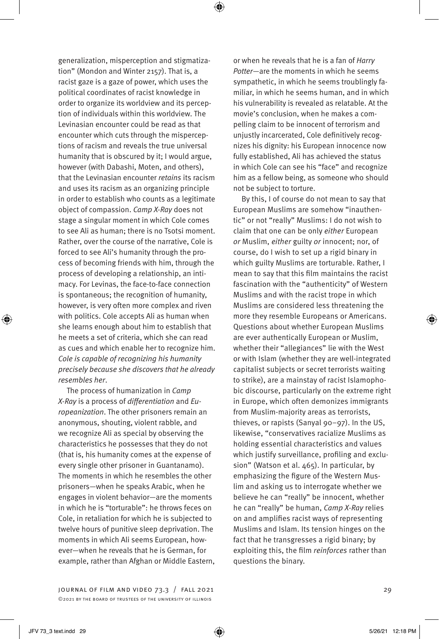generalization, misperception and stigmatization" (Mondon and Winter 2157). That is, a racist gaze is a gaze of power, which uses the political coordinates of racist knowledge in order to organize its worldview and its perception of individuals within this worldview. The Levinasian encounter could be read as that encounter which cuts through the misperceptions of racism and reveals the true universal humanity that is obscured by it; I would argue, however (with Dabashi, Moten, and others), that the Levinasian encounter *retains* its racism and uses its racism as an organizing principle in order to establish who counts as a legitimate object of compassion. *Camp X-Ray* does not stage a singular moment in which Cole comes to see Ali as human; there is no Tsotsi moment. Rather, over the course of the narrative, Cole is forced to see Ali's humanity through the process of becoming friends with him, through the process of developing a relationship, an intimacy. For Levinas, the face-to-face connection is spontaneous; the recognition of humanity, however, is very often more complex and riven with politics. Cole accepts Ali as human when she learns enough about him to establish that he meets a set of criteria, which she can read as cues and which enable her to recognize him. *Cole is capable of recognizing his humanity precisely because she discovers that he already resembles her*.

The process of humanization in *Camp X-Ray* is a process of *differentiation* and *Europeanization*. The other prisoners remain an anonymous, shouting, violent rabble, and we recognize Ali as special by observing the characteristics he possesses that they do not (that is, his humanity comes at the expense of every single other prisoner in Guantanamo). The moments in which he resembles the other prisoners—when he speaks Arabic, when he engages in violent behavior—are the moments in which he is "torturable": he throws feces on Cole, in retaliation for which he is subjected to twelve hours of punitive sleep deprivation. The moments in which Ali seems European, however—when he reveals that he is German, for example, rather than Afghan or Middle Eastern,

journal of film and video 73.3 / fall 2021 29 ©2021 by the board of trustees of the university of illinois

or when he reveals that he is a fan of *Harry Potter*—are the moments in which he seems sympathetic, in which he seems troublingly familiar, in which he seems human, and in which his vulnerability is revealed as relatable. At the movie's conclusion, when he makes a compelling claim to be innocent of terrorism and unjustly incarcerated, Cole definitively recognizes his dignity: his European innocence now fully established, Ali has achieved the status in which Cole can see his "face" and recognize him as a fellow being, as someone who should not be subject to torture.

By this, I of course do not mean to say that European Muslims are somehow "inauthentic" or not "really" Muslims: I do not wish to claim that one can be only *either* European *or* Muslim, *either* guilty *or* innocent; nor, of course, do I wish to set up a rigid binary in which guilty Muslims are torturable. Rather, I mean to say that this film maintains the racist fascination with the "authenticity" of Western Muslims and with the racist trope in which Muslims are considered less threatening the more they resemble Europeans or Americans. Questions about whether European Muslims are ever authentically European or Muslim, whether their "allegiances" lie with the West or with Islam (whether they are well-integrated capitalist subjects or secret terrorists waiting to strike), are a mainstay of racist Islamophobic discourse, particularly on the extreme right in Europe, which often demonizes immigrants from Muslim-majority areas as terrorists, thieves, or rapists (Sanyal 90–97). In the US, likewise, "conservatives racialize Muslims as holding essential characteristics and values which justify surveillance, profiling and exclusion" (Watson et al. 465). In particular, by emphasizing the figure of the Western Muslim and asking us to interrogate whether we believe he can "really" be innocent, whether he can "really" be human, *Camp X-Ray* relies on and amplifies racist ways of representing Muslims and Islam. Its tension hinges on the fact that he transgresses a rigid binary; by exploiting this, the film *reinforces* rather than questions the binary.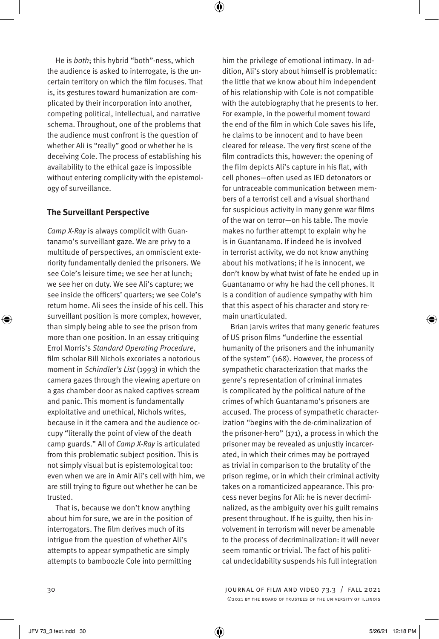⊕

He is *both*; this hybrid "both"-ness, which the audience is asked to interrogate, is the uncertain territory on which the film focuses. That is, its gestures toward humanization are complicated by their incorporation into another, competing political, intellectual, and narrative schema. Throughout, one of the problems that the audience must confront is the question of whether Ali is "really" good or whether he is deceiving Cole. The process of establishing his availability to the ethical gaze is impossible without entering complicity with the epistemology of surveillance.

#### **The Surveillant Perspective**

*Camp X-Ray* is always complicit with Guantanamo's surveillant gaze. We are privy to a multitude of perspectives, an omniscient exteriority fundamentally denied the prisoners. We see Cole's leisure time; we see her at lunch; we see her on duty. We see Ali's capture; we see inside the officers' quarters; we see Cole's return home. Ali sees the inside of his cell. This surveillant position is more complex, however, than simply being able to see the prison from more than one position. In an essay critiquing Errol Morris's *Standard Operating Procedure*, film scholar Bill Nichols excoriates a notorious moment in *Schindler's List* (1993) in which the camera gazes through the viewing aperture on a gas chamber door as naked captives scream and panic. This moment is fundamentally exploitative and unethical, Nichols writes, because in it the camera and the audience occupy "literally the point of view of the death camp guards." All of *Camp X-Ray* is articulated from this problematic subject position. This is not simply visual but is epistemological too: even when we are in Amir Ali's cell with him, we are still trying to figure out whether he can be trusted.

That is, because we don't know anything about him for sure, we are in the position of interrogators. The film derives much of its intrigue from the question of whether Ali's attempts to appear sympathetic are simply attempts to bamboozle Cole into permitting

him the privilege of emotional intimacy. In addition, Ali's story about himself is problematic: the little that we know about him independent of his relationship with Cole is not compatible with the autobiography that he presents to her. For example, in the powerful moment toward the end of the film in which Cole saves his life, he claims to be innocent and to have been cleared for release. The very first scene of the film contradicts this, however: the opening of the film depicts Ali's capture in his flat, with cell phones—often used as IED detonators or for untraceable communication between members of a terrorist cell and a visual shorthand for suspicious activity in many genre war films of the war on terror—on his table. The movie makes no further attempt to explain why he is in Guantanamo. If indeed he is involved in terrorist activity, we do not know anything about his motivations; if he is innocent, we don't know by what twist of fate he ended up in Guantanamo or why he had the cell phones. It is a condition of audience sympathy with him that this aspect of his character and story remain unarticulated.

Brian Jarvis writes that many generic features of US prison films "underline the essential humanity of the prisoners and the inhumanity of the system" (168). However, the process of sympathetic characterization that marks the genre's representation of criminal inmates is complicated by the political nature of the crimes of which Guantanamo's prisoners are accused. The process of sympathetic characterization "begins with the de-criminalization of the prisoner-hero" (171), a process in which the prisoner may be revealed as unjustly incarcerated, in which their crimes may be portrayed as trivial in comparison to the brutality of the prison regime, or in which their criminal activity takes on a romanticized appearance. This process never begins for Ali: he is never decriminalized, as the ambiguity over his guilt remains present throughout. If he is guilty, then his involvement in terrorism will never be amenable to the process of decriminalization: it will never seem romantic or trivial. The fact of his political undecidability suspends his full integration

30 journal of film and video 73.3 / fall 2021 ©2021 by the board of trustees of the university of illinois

⊕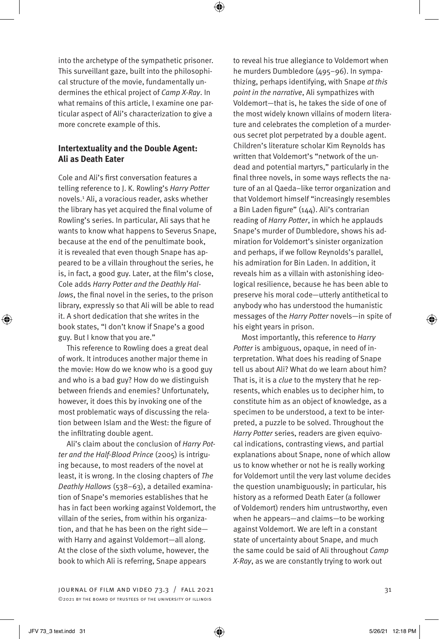into the archetype of the sympathetic prisoner. This surveillant gaze, built into the philosophical structure of the movie, fundamentally undermines the ethical project of *Camp X-Ray*. In what remains of this article, I examine one particular aspect of Ali's characterization to give a more concrete example of this.

# **Intertextuality and the Double Agent: Ali as Death Eater**

Cole and Ali's first conversation features a telling reference to J. K. Rowling's *Harry Potter* novels.1 Ali, a voracious reader, asks whether the library has yet acquired the final volume of Rowling's series. In particular, Ali says that he wants to know what happens to Severus Snape, because at the end of the penultimate book, it is revealed that even though Snape has appeared to be a villain throughout the series, he is, in fact, a good guy. Later, at the film's close, Cole adds *Harry Potter and the Deathly Hallows*, the final novel in the series, to the prison library, expressly so that Ali will be able to read it. A short dedication that she writes in the book states, "I don't know if Snape's a good guy. But I know that you are."

This reference to Rowling does a great deal of work. It introduces another major theme in the movie: How do we know who is a good guy and who is a bad guy? How do we distinguish between friends and enemies? Unfortunately, however, it does this by invoking one of the most problematic ways of discussing the relation between Islam and the West: the figure of the infiltrating double agent.

Ali's claim about the conclusion of *Harry Potter and the Half-Blood Prince* (2005) is intriguing because, to most readers of the novel at least, it is wrong. In the closing chapters of *The Deathly Hallows* (538–63), a detailed examination of Snape's memories establishes that he has in fact been working against Voldemort, the villain of the series, from within his organization, and that he has been on the right side with Harry and against Voldemort—all along. At the close of the sixth volume, however, the book to which Ali is referring, Snape appears

JOURNAL OF FILM AND VIDEO  $73.3$  / FALL 2021  $31$ ©2021 by the board of trustees of the university of illinois

to reveal his true allegiance to Voldemort when he murders Dumbledore (495–96). In sympathizing, perhaps identifying, with Snape *at this point in the narrative*, Ali sympathizes with Voldemort—that is, he takes the side of one of the most widely known villains of modern literature and celebrates the completion of a murderous secret plot perpetrated by a double agent. Children's literature scholar Kim Reynolds has written that Voldemort's "network of the undead and potential martyrs," particularly in the final three novels, in some ways reflects the nature of an al Qaeda–like terror organization and that Voldemort himself "increasingly resembles a Bin Laden figure" (144). Ali's contrarian reading of *Harry Potter*, in which he applauds Snape's murder of Dumbledore, shows his admiration for Voldemort's sinister organization and perhaps, if we follow Reynolds's parallel, his admiration for Bin Laden. In addition, it reveals him as a villain with astonishing ideological resilience, because he has been able to preserve his moral code—utterly antithetical to anybody who has understood the humanistic messages of the *Harry Potter* novels—in spite of his eight years in prison.

Most importantly, this reference to *Harry Potter* is ambiguous, opaque, in need of interpretation. What does his reading of Snape tell us about Ali? What do we learn about him? That is, it is a *clue* to the mystery that he represents, which enables us to decipher him, to constitute him as an object of knowledge, as a specimen to be understood, a text to be interpreted, a puzzle to be solved. Throughout the *Harry Potter* series, readers are given equivocal indications, contrasting views, and partial explanations about Snape, none of which allow us to know whether or not he is really working for Voldemort until the very last volume decides the question unambiguously; in particular, his history as a reformed Death Eater (a follower of Voldemort) renders him untrustworthy, even when he appears—and claims—to be working against Voldemort. We are left in a constant state of uncertainty about Snape, and much the same could be said of Ali throughout *Camp X-Ray*, as we are constantly trying to work out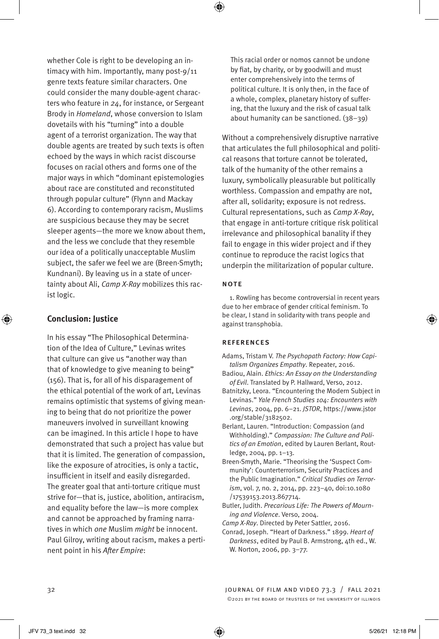whether Cole is right to be developing an intimacy with him. Importantly, many post-9/11 genre texts feature similar characters. One could consider the many double-agent characters who feature in *24*, for instance, or Sergeant Brody in *Homeland*, whose conversion to Islam dovetails with his "turning" into a double agent of a terrorist organization. The way that double agents are treated by such texts is often echoed by the ways in which racist discourse focuses on racial others and forms one of the major ways in which "dominant epistemologies about race are constituted and reconstituted through popular culture" (Flynn and Mackay 6). According to contemporary racism, Muslims are suspicious because they may be secret sleeper agents—the more we know about them, and the less we conclude that they resemble our idea of a politically unacceptable Muslim subject, the safer we feel we are (Breen-Smyth; Kundnani). By leaving us in a state of uncertainty about Ali, *Camp X-Ray* mobilizes this racist logic.

#### **Conclusion: Justice**

⊕

In his essay "The Philosophical Determination of the Idea of Culture," Levinas writes that culture can give us "another way than that of knowledge to give meaning to being" (156). That is, for all of his disparagement of the ethical potential of the work of art, Levinas remains optimistic that systems of giving meaning to being that do not prioritize the power maneuvers involved in surveillant knowing can be imagined. In this article I hope to have demonstrated that such a project has value but that it is limited. The generation of compassion, like the exposure of atrocities, is only a tactic, insufficient in itself and easily disregarded. The greater goal that anti-torture critique must strive for—that is, justice, abolition, antiracism, and equality before the law—is more complex and cannot be approached by framing narratives in which *one* Muslim *might* be innocent. Paul Gilroy, writing about racism, makes a pertinent point in his *After Empire*:

This racial order or nomos cannot be undone by fiat, by charity, or by goodwill and must enter comprehensively into the terms of political culture. It is only then, in the face of a whole, complex, planetary history of suffering, that the luxury and the risk of casual talk about humanity can be sanctioned. (38–39)

Without a comprehensively disruptive narrative that articulates the full philosophical and political reasons that torture cannot be tolerated, talk of the humanity of the other remains a luxury, symbolically pleasurable but politically worthless. Compassion and empathy are not, after all, solidarity; exposure is not redress. Cultural representations, such as *Camp X-Ray*, that engage in anti-torture critique risk political irrelevance and philosophical banality if they fail to engage in this wider project and if they continue to reproduce the racist logics that underpin the militarization of popular culture.

#### note

1. Rowling has become controversial in recent years due to her embrace of gender critical feminism. To be clear, I stand in solidarity with trans people and against transphobia.

#### **REFERENCES**

Adams, Tristam V. *The Psychopath Factory: How Capitalism Organizes Empathy*. Repeater, 2016.

Badiou, Alain. *Ethics: An Essay on the Understanding of Evil*. Translated by P. Hallward, Verso, 2012.

- Batnitzky, Leora. "Encountering the Modern Subject in Levinas." *Yale French Studies 104: Encounters with Levinas*, 2004, pp. 6–21. *JSTOR*, https://www.jstor .org/stable/3182502.
- Berlant, Lauren. "Introduction: Compassion (and Withholding)." *Compassion: The Culture and Politics of an Emotion*, edited by Lauren Berlant, Routledge, 2004, pp. 1–13.
- Breen-Smyth, Marie. "Theorising the 'Suspect Community': Counterterrorism, Security Practices and the Public Imagination." *Critical Studies on Terrorism*, vol. 7, no. 2, 2014, pp. 223–40, doi:10.1080 /17539153.2013.867714.
- Butler, Judith. *Precarious Life: The Powers of Mourning and Violence*. Verso, 2004.

*Camp X-Ray*. Directed by Peter Sattler, 2016.

Conrad, Joseph. "Heart of Darkness." 1899. *Heart of Darkness*, edited by Paul B. Armstrong, 4th ed., W. W. Norton, 2006, pp. 3–77.

32 journal of film and video 73.3 / fall 2021 ©2021 by the board of trustees of the university of illinois